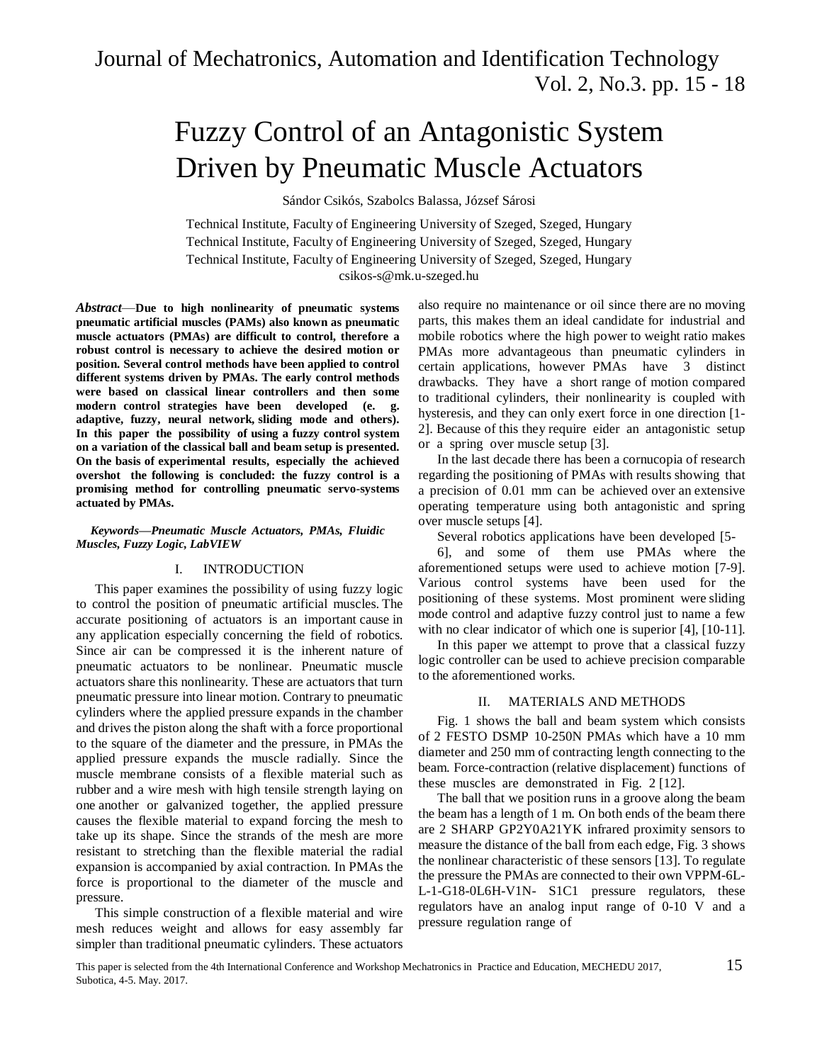# Fuzzy Control of an Antagonistic System Driven by Pneumatic Muscle Actuators

Sándor Csikós, Szabolcs Balassa, József Sárosi

Technical Institute, Faculty of Engineering University of Szeged, Szeged, Hungary Technical Institute, Faculty of Engineering University of Szeged, Szeged, Hungary Technical Institute, Faculty of Engineering University of Szeged, Szeged, Hungary [csikos-s@mk.u-szeged.hu](mailto:csikos-s@mk.u-szeged.hu)

*Abstract*—**Due to high nonlinearity of pneumatic systems pneumatic artificial muscles (PAMs) also known as pneumatic muscle actuators (PMAs) are difficult to control, therefore a robust control is necessary to achieve the desired motion or position. Several control methods have been applied to control different systems driven by PMAs. The early control methods were based on classical linear controllers and then some modern control strategies have been developed (e. g. adaptive, fuzzy, neural network, sliding mode and others). In this paper the possibility of using a fuzzy control system on a variation of the classical ball and beam setup is presented. On the basis of experimental results, especially the achieved overshot the following is concluded: the fuzzy control is a promising method for controlling pneumatic servo-systems actuated by PMAs.**

#### *Keywords—Pneumatic Muscle Actuators, PMAs, Fluidic Muscles, Fuzzy Logic, LabVIEW*

#### I. INTRODUCTION

This paper examines the possibility of using fuzzy logic to control the position of pneumatic artificial muscles. The accurate positioning of actuators is an important cause in any application especially concerning the field of robotics. Since air can be compressed it is the inherent nature of pneumatic actuators to be nonlinear. Pneumatic muscle actuators share this nonlinearity. These are actuators that turn pneumatic pressure into linear motion. Contrary to pneumatic cylinders where the applied pressure expands in the chamber and drives the piston along the shaft with a force proportional to the square of the diameter and the pressure, in PMAs the applied pressure expands the muscle radially. Since the muscle membrane consists of a flexible material such as rubber and a wire mesh with high tensile strength laying on one another or galvanized together, the applied pressure causes the flexible material to expand forcing the mesh to take up its shape. Since the strands of the mesh are more resistant to stretching than the flexible material the radial expansion is accompanied by axial contraction. In PMAs the force is proportional to the diameter of the muscle and pressure.

This simple construction of a flexible material and wire mesh reduces weight and allows for easy assembly far simpler than traditional pneumatic cylinders. These actuators

also require no maintenance or oil since there are no moving parts, this makes them an ideal candidate for industrial and mobile robotics where the high power to weight ratio makes PMAs more advantageous than pneumatic cylinders in certain applications, however PMAs have 3 distinct drawbacks. They have a short range of motion compared to traditional cylinders, their nonlinearity is coupled with hysteresis, and they can only exert force in one direction [1- 2]. Because of this they require eider an antagonistic setup or a spring over muscle setup [3].

In the last decade there has been a cornucopia of research regarding the positioning of PMAs with results showing that a precision of 0.01 mm can be achieved over an extensive operating temperature using both antagonistic and spring over muscle setups [4].

Several robotics applications have been developed [5-

6], and some of them use PMAs where the aforementioned setups were used to achieve motion [7-9]. Various control systems have been used for the positioning of these systems. Most prominent were sliding mode control and adaptive fuzzy control just to name a few with no clear indicator of which one is superior [4], [10-11].

In this paper we attempt to prove that a classical fuzzy logic controller can be used to achieve precision comparable to the aforementioned works.

# II. MATERIALS AND METHODS

Fig. 1 shows the ball and beam system which consists of 2 FESTO DSMP 10-250N PMAs which have a 10 mm diameter and 250 mm of contracting length connecting to the beam. Force-contraction (relative displacement) functions of these muscles are demonstrated in Fig. 2 [12].

The ball that we position runs in a groove along the beam the beam has a length of 1 m. On both ends of the beam there are 2 SHARP GP2Y0A21YK infrared proximity sensors to measure the distance of the ball from each edge, Fig. 3 shows the nonlinear characteristic of these sensors [13]. To regulate the pressure the PMAs are connected to their own VPPM-6L-L-1-G18-0L6H-V1N- S1C1 pressure regulators, these regulators have an analog input range of 0-10 V and a pressure regulation range of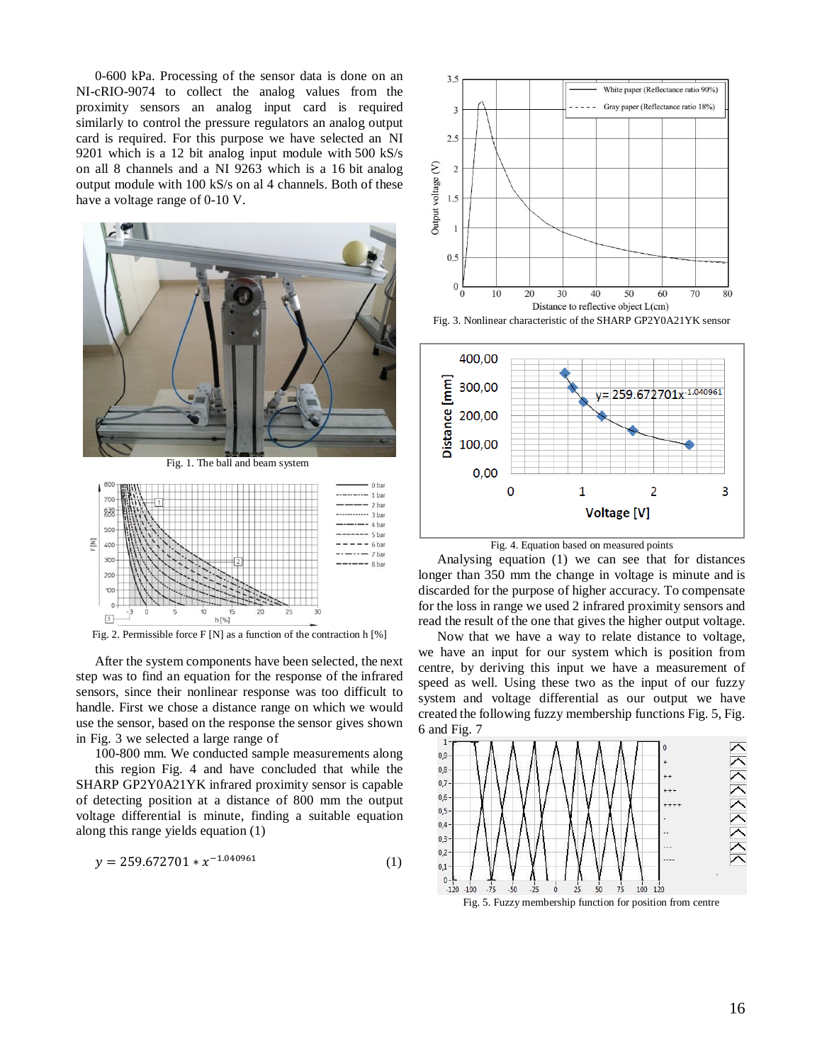0-600 kPa. Processing of the sensor data is done on an NI-cRIO-9074 to collect the analog values from the proximity sensors an analog input card is required similarly to control the pressure regulators an analog output card is required. For this purpose we have selected an NI 9201 which is a 12 bit analog input module with 500 kS/s on all 8 channels and a NI 9263 which is a 16 bit analog output module with 100 kS/s on al 4 channels. Both of these have a voltage range of 0-10 V.





Fig. 2. Permissible force F [N] as a function of the contraction h [%]

After the system components have been selected, the next step was to find an equation for the response of the infrared sensors, since their nonlinear response was too difficult to handle. First we chose a distance range on which we would use the sensor, based on the response the sensor gives shown in Fig. 3 we selected a large range of

100-800 mm. We conducted sample measurements along this region Fig. 4 and have concluded that while the SHARP GP2Y0A21YK infrared proximity sensor is capable of detecting position at a distance of 800 mm the output voltage differential is minute, finding a suitable equation along this range yields equation (1)

$$
y = 259.672701 \times x^{-1.040961} \tag{1}
$$



Fig. 3. Nonlinear characteristic of the SHARP GP2Y0A21YK sensor



Fig. 4. Equation based on measured points

Analysing equation (1) we can see that for distances longer than 350 mm the change in voltage is minute and is discarded for the purpose of higher accuracy. To compensate for the loss in range we used 2 infrared proximity sensors and read the result of the one that gives the higher output voltage.

Now that we have a way to relate distance to voltage, we have an input for our system which is position from centre, by deriving this input we have a measurement of speed as well. Using these two as the input of our fuzzy system and voltage differential as our output we have created the following fuzzy membership functions Fig. 5, Fig. 6 and Fig. 7



Fig. 5. Fuzzy membership function for position from centre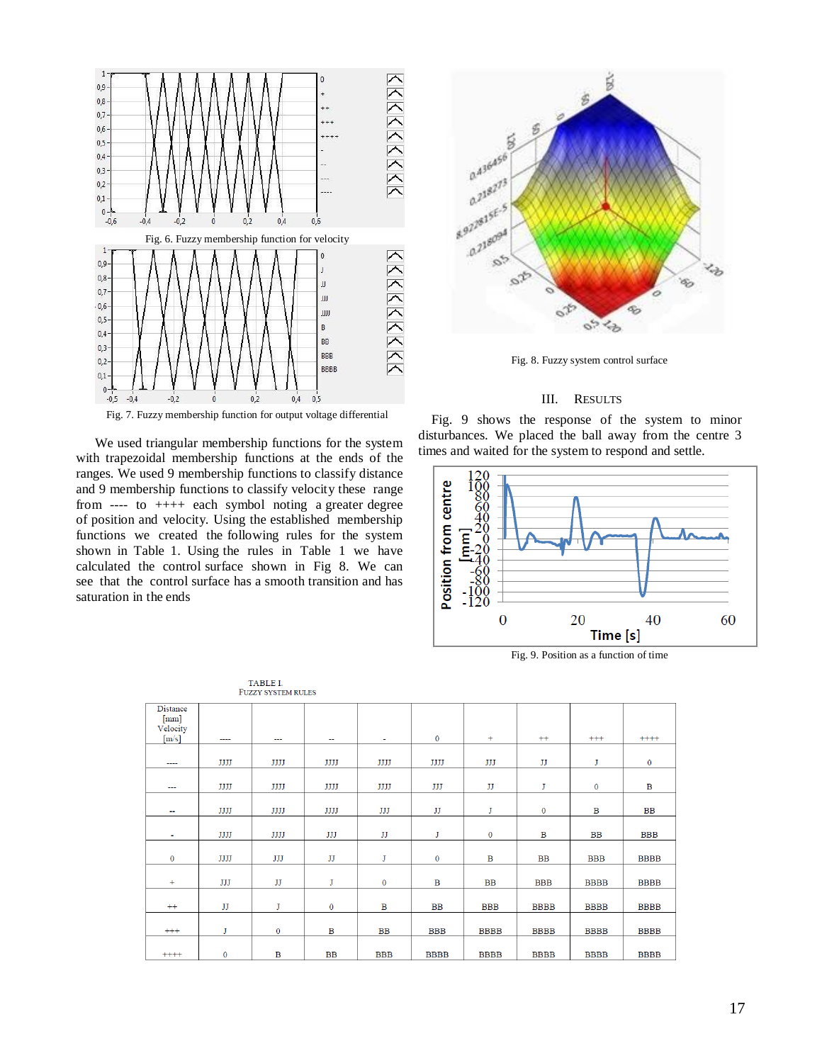

Fig. 7. Fuzzy membership function for output voltage differential

We used triangular membership functions for the system with trapezoidal membership functions at the ends of the ranges. We used 9 membership functions to classify distance and 9 membership functions to classify velocity these range from ---- to ++++ each symbol noting a greater degree of position and velocity. Using the established membership functions we created the following rules for the system shown in Table 1. Using the rules in Table 1 we have calculated the control surface shown in Fig 8. We can see that the control surface has a smooth transition and has saturation in the ends



Fig. 8. Fuzzy system control surface

### III. RESULTS

Fig. 9 shows the response of the system to minor disturbances. We placed the ball away from the centre 3 times and waited for the system to respond and settle.



Fig. 9. Position as a function of time

| Distance     |              |                          |              |              |              |             |              |              |              |
|--------------|--------------|--------------------------|--------------|--------------|--------------|-------------|--------------|--------------|--------------|
| [mm]         |              |                          |              |              |              |             |              |              |              |
| Velocity     |              |                          |              |              |              |             |              |              |              |
| [m/s]        | ----         | $\overline{\phantom{a}}$ | $\sim$       | ۰            | $\mathbf{0}$ | $+$         | $^{++}$      | $^{+++}$     | $++++$       |
|              |              |                          |              |              |              |             |              |              |              |
| ----         | JJJJ         | JJJJ                     | JJJJ         | JJJJ         | JJJJ         | JJJ         | IJ           | J            | $\mathbf{0}$ |
|              |              |                          |              |              |              |             |              |              |              |
| ---          | JJJJ         | JJJJ                     | JJJJ         | JJJJ         | JJJ          | IJ          | J            | $\mathbf{0}$ | $\mathbf B$  |
|              |              |                          |              |              |              |             |              |              |              |
| $\sim$       | JJJJ         | JJJJ                     | JJJJ         | JJJ          | IJ           | J           | $\mathbf 0$  | B            | <b>BB</b>    |
|              |              |                          |              |              |              |             |              |              |              |
|              |              |                          |              |              | J            |             | $\mathbf{B}$ |              |              |
| ٠            | JJJJ         | JJJJ                     | JJJ          | IJ           |              | $\bf{0}$    |              | <b>BB</b>    | <b>BBB</b>   |
|              |              |                          |              |              |              |             |              |              |              |
| $\mathbf{0}$ | JJJJ         | JJJ                      | IJ           | J            | $\bf{0}$     | B           | <b>BB</b>    | <b>BBB</b>   | <b>BBBB</b>  |
|              |              |                          |              |              |              |             |              |              |              |
| $+$          | JJJ          | JJ                       | J            | $\bf{0}$     | $\mathbf B$  | <b>BB</b>   | <b>BBB</b>   | <b>BBBB</b>  | <b>BBBB</b>  |
|              |              |                          |              |              |              |             |              |              |              |
|              |              |                          |              |              |              |             |              |              |              |
| $^{++}$      | IJ           | J                        | $\mathbf{0}$ | $\mathbf{B}$ | <b>BB</b>    | <b>BBB</b>  | <b>BBBB</b>  | <b>BBBB</b>  | <b>BBBB</b>  |
|              |              |                          |              |              |              |             |              |              |              |
| $^{+++}$     | J            | $\mathbf{0}$             | $\mathbf B$  | <b>BB</b>    | <b>BBB</b>   | <b>BBBB</b> | <b>BBBB</b>  | <b>BBBB</b>  | <b>BBBB</b>  |
|              |              |                          |              |              |              |             |              |              |              |
| $+++++$      | $\mathbf{0}$ | $\mathbf{B}$             | <b>BB</b>    | <b>BBB</b>   | <b>BBBB</b>  | <b>BBBB</b> | <b>BBBB</b>  | <b>BBBB</b>  | <b>BBBB</b>  |

# TABLE I.<br>FUZZY SYSTEM RULES